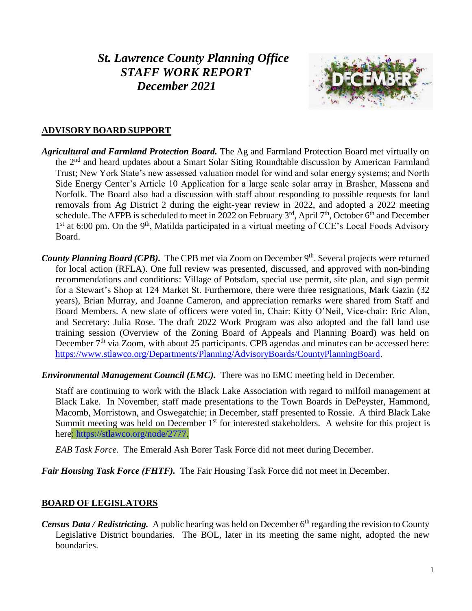# *St. Lawrence County Planning Office STAFF WORK REPORT December 2021*



## **ADVISORY BOARD SUPPORT**

- *Agricultural and Farmland Protection Board.* The Ag and Farmland Protection Board met virtually on the 2<sup>nd</sup> and heard updates about a Smart Solar Siting Roundtable discussion by American Farmland Trust; New York State's new assessed valuation model for wind and solar energy systems; and North Side Energy Center's Article 10 Application for a large scale solar array in Brasher, Massena and Norfolk. The Board also had a discussion with staff about responding to possible requests for land removals from Ag District 2 during the eight-year review in 2022, and adopted a 2022 meeting schedule. The AFPB is scheduled to meet in 2022 on February  $3<sup>rd</sup>$ , April 7<sup>th</sup>, October 6<sup>th</sup> and December 1<sup>st</sup> at 6:00 pm. On the 9<sup>th</sup>, Matilda participated in a virtual meeting of CCE's Local Foods Advisory Board.
- County Planning Board (CPB). The CPB met via Zoom on December 9<sup>th</sup>. Several projects were returned for local action (RFLA). One full review was presented, discussed, and approved with non-binding recommendations and conditions: Village of Potsdam, special use permit, site plan, and sign permit for a Stewart's Shop at 124 Market St. Furthermore, there were three resignations, Mark Gazin (32 years), Brian Murray, and Joanne Cameron, and appreciation remarks were shared from Staff and Board Members. A new slate of officers were voted in, Chair: Kitty O'Neil, Vice-chair: Eric Alan, and Secretary: Julia Rose. The draft 2022 Work Program was also adopted and the fall land use training session (Overview of the Zoning Board of Appeals and Planning Board) was held on December  $7<sup>th</sup>$  via Zoom, with about 25 participants. CPB agendas and minutes can be accessed here: [https://www.stlawco.org/Departments/Planning/AdvisoryBoards/CountyPlanningBoard.](https://www.stlawco.org/Departments/Planning/AdvisoryBoards/CountyPlanningBoard)
- *Environmental Management Council (EMC).* There was no EMC meeting held in December.

Staff are continuing to work with the Black Lake Association with regard to milfoil management at Black Lake. In November, staff made presentations to the Town Boards in DePeyster, Hammond, Macomb, Morristown, and Oswegatchie; in December, staff presented to Rossie. A third Black Lake Summit meeting was held on December  $1<sup>st</sup>$  for interested stakeholders. A website for this project is here: [https://stlawco.org/node/2777.](https://stlawco.org/node/2777)

*EAB Task Force.* The Emerald Ash Borer Task Force did not meet during December.

*Fair Housing Task Force (FHTF).* The Fair Housing Task Force did not meet in December.

## **BOARD OF LEGISLATORS**

Census Data / Redistricting. A public hearing was held on December 6<sup>th</sup> regarding the revision to County Legislative District boundaries. The BOL, later in its meeting the same night, adopted the new boundaries.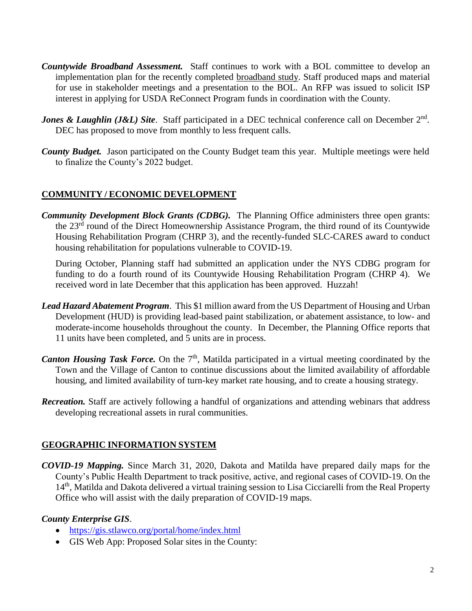- *Countywide Broadband Assessment.* Staff continues to work with a BOL committee to develop an implementation plan for the recently completed [broadband study.](https://stlawco.org/Broadband-Study) Staff produced maps and material for use in stakeholder meetings and a presentation to the BOL. An RFP was issued to solicit ISP interest in applying for USDA ReConnect Program funds in coordination with the County.
- *Jones & Laughlin (J&L) Site.* Staff participated in a DEC technical conference call on December 2<sup>nd</sup>. DEC has proposed to move from monthly to less frequent calls.
- *County Budget.* Jason participated on the County Budget team this year. Multiple meetings were held to finalize the County's 2022 budget.

## **COMMUNITY / ECONOMIC DEVELOPMENT**

*Community Development Block Grants (CDBG).* The Planning Office administers three open grants: the 23<sup>rd</sup> round of the Direct Homeownership Assistance Program, the third round of its Countywide Housing Rehabilitation Program (CHRP 3), and the recently-funded SLC-CARES award to conduct housing rehabilitation for populations vulnerable to COVID-19.

During October, Planning staff had submitted an application under the NYS CDBG program for funding to do a fourth round of its Countywide Housing Rehabilitation Program (CHRP 4). We received word in late December that this application has been approved. Huzzah!

- *Lead Hazard Abatement Program*. This \$1 million award from the US Department of Housing and Urban Development (HUD) is providing lead-based paint stabilization, or abatement assistance, to low- and moderate-income households throughout the county. In December, the Planning Office reports that 11 units have been completed, and 5 units are in process.
- Canton Housing Task Force. On the 7<sup>th</sup>, Matilda participated in a virtual meeting coordinated by the Town and the Village of Canton to continue discussions about the limited availability of affordable housing, and limited availability of turn-key market rate housing, and to create a housing strategy.
- *Recreation.* Staff are actively following a handful of organizations and attending webinars that address developing recreational assets in rural communities.

## **GEOGRAPHIC INFORMATION SYSTEM**

*COVID-19 Mapping.* Since March 31, 2020, Dakota and Matilda have prepared daily maps for the County's Public Health Department to track positive, active, and regional cases of COVID-19. On the 14<sup>th</sup>, Matilda and Dakota delivered a virtual training session to Lisa Cicciarelli from the Real Property Office who will assist with the daily preparation of COVID-19 maps.

## *County Enterprise GIS*.

- <https://gis.stlawco.org/portal/home/index.html>
- GIS Web App: Proposed Solar sites in the County: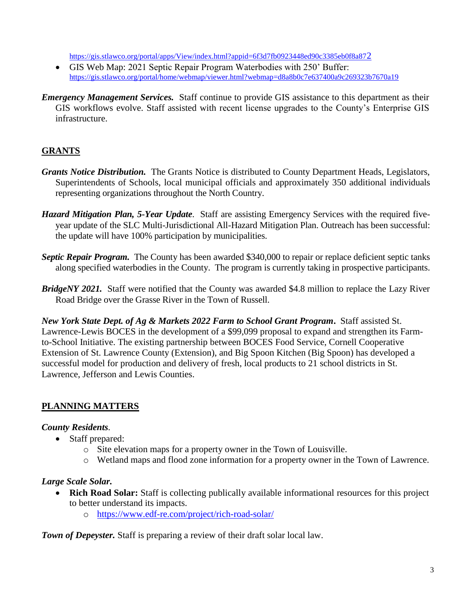[https://gis.stlawco.org/portal/apps/View/index.html?appid=6f3d7fb0923448ed90c3385eb0f8a87](https://gis.stlawco.org/portal/apps/View/index.html?appid=6f3d7fb0923448ed90c3385eb0f8a872)2

- GIS Web Map: 2021 Septic Repair Program Waterbodies with 250' Buffer: <https://gis.stlawco.org/portal/home/webmap/viewer.html?webmap=d8a8b0c7e637400a9c269323b7670a19>
- *Emergency Management Services.* Staff continue to provide GIS assistance to this department as their GIS workflows evolve. Staff assisted with recent license upgrades to the County's Enterprise GIS infrastructure.

## **GRANTS**

- *Grants Notice Distribution.* The Grants Notice is distributed to County Department Heads, Legislators, Superintendents of Schools, local municipal officials and approximately 350 additional individuals representing organizations throughout the North Country.
- *Hazard Mitigation Plan, 5-Year Update*. Staff are assisting Emergency Services with the required fiveyear update of the SLC Multi-Jurisdictional All-Hazard Mitigation Plan. Outreach has been successful: the update will have 100% participation by municipalities.
- *Septic Repair Program.* The County has been awarded \$340,000 to repair or replace deficient septic tanks along specified waterbodies in the County. The program is currently taking in prospective participants.
- *BridgeNY 2021.* Staff were notified that the County was awarded \$4.8 million to replace the Lazy River Road Bridge over the Grasse River in the Town of Russell.

*New York State Dept. of Ag & Markets 2022 Farm to School Grant Program***.** Staff assisted St. Lawrence-Lewis BOCES in the development of a \$99,099 proposal to expand and strengthen its Farmto-School Initiative. The existing partnership between BOCES Food Service, Cornell Cooperative Extension of St. Lawrence County (Extension), and Big Spoon Kitchen (Big Spoon) has developed a successful model for production and delivery of fresh, local products to 21 school districts in St. Lawrence, Jefferson and Lewis Counties.

## **PLANNING MATTERS**

## *County Residents.*

- Staff prepared:
	- o Site elevation maps for a property owner in the Town of Louisville.
	- o Wetland maps and flood zone information for a property owner in the Town of Lawrence.

## *Large Scale Solar.*

- **Rich Road Solar:** Staff is collecting publically available informational resources for this project to better understand its impacts.
	- o <https://www.edf-re.com/project/rich-road-solar/>

**Town of Depeyster.** Staff is preparing a review of their draft solar local law.